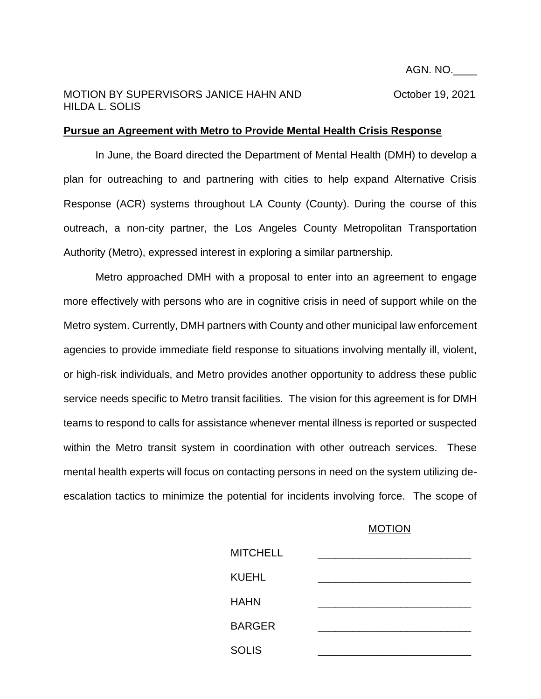## MOTION BY SUPERVISORS JANICE HAHN AND **COLLUME** October 19, 2021 HILDA L. SOLIS

## **Pursue an Agreement with Metro to Provide Mental Health Crisis Response**

In June, the Board directed the Department of Mental Health (DMH) to develop a plan for outreaching to and partnering with cities to help expand Alternative Crisis Response (ACR) systems throughout LA County (County). During the course of this outreach, a non-city partner, the Los Angeles County Metropolitan Transportation Authority (Metro), expressed interest in exploring a similar partnership.

Metro approached DMH with a proposal to enter into an agreement to engage more effectively with persons who are in cognitive crisis in need of support while on the Metro system. Currently, DMH partners with County and other municipal law enforcement agencies to provide immediate field response to situations involving mentally ill, violent, or high-risk individuals, and Metro provides another opportunity to address these public service needs specific to Metro transit facilities. The vision for this agreement is for DMH teams to respond to calls for assistance whenever mental illness is reported or suspected within the Metro transit system in coordination with other outreach services. These mental health experts will focus on contacting persons in need on the system utilizing deescalation tactics to minimize the potential for incidents involving force. The scope of

## **MOTION**

| <b>MITCHELL</b> |  |
|-----------------|--|
| <b>KUEHL</b>    |  |
| <b>HAHN</b>     |  |
| <b>BARGER</b>   |  |
| <b>SOLIS</b>    |  |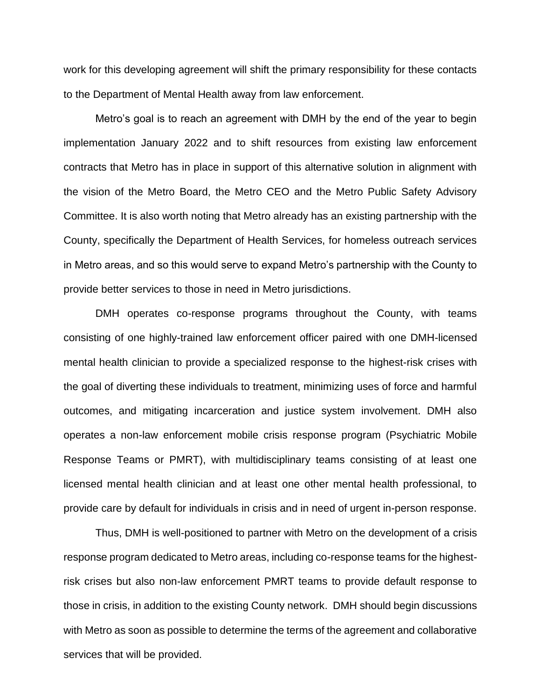work for this developing agreement will shift the primary responsibility for these contacts to the Department of Mental Health away from law enforcement.

Metro's goal is to reach an agreement with DMH by the end of the year to begin implementation January 2022 and to shift resources from existing law enforcement contracts that Metro has in place in support of this alternative solution in alignment with the vision of the Metro Board, the Metro CEO and the Metro Public Safety Advisory Committee. It is also worth noting that Metro already has an existing partnership with the County, specifically the Department of Health Services, for homeless outreach services in Metro areas, and so this would serve to expand Metro's partnership with the County to provide better services to those in need in Metro jurisdictions.

DMH operates co-response programs throughout the County, with teams consisting of one highly-trained law enforcement officer paired with one DMH-licensed mental health clinician to provide a specialized response to the highest-risk crises with the goal of diverting these individuals to treatment, minimizing uses of force and harmful outcomes, and mitigating incarceration and justice system involvement. DMH also operates a non-law enforcement mobile crisis response program (Psychiatric Mobile Response Teams or PMRT), with multidisciplinary teams consisting of at least one licensed mental health clinician and at least one other mental health professional, to provide care by default for individuals in crisis and in need of urgent in-person response.

Thus, DMH is well-positioned to partner with Metro on the development of a crisis response program dedicated to Metro areas, including co-response teams for the highestrisk crises but also non-law enforcement PMRT teams to provide default response to those in crisis, in addition to the existing County network. DMH should begin discussions with Metro as soon as possible to determine the terms of the agreement and collaborative services that will be provided.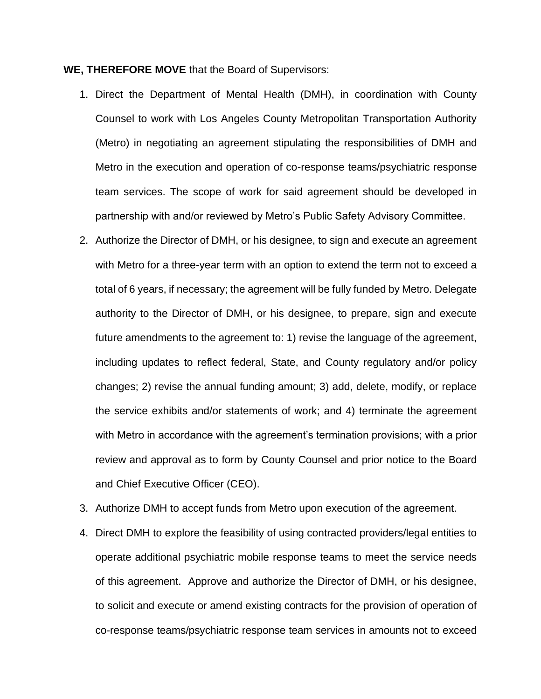## **WE, THEREFORE MOVE** that the Board of Supervisors:

- 1. Direct the Department of Mental Health (DMH), in coordination with County Counsel to work with Los Angeles County Metropolitan Transportation Authority (Metro) in negotiating an agreement stipulating the responsibilities of DMH and Metro in the execution and operation of co-response teams/psychiatric response team services. The scope of work for said agreement should be developed in partnership with and/or reviewed by Metro's Public Safety Advisory Committee.
- 2. Authorize the Director of DMH, or his designee, to sign and execute an agreement with Metro for a three-year term with an option to extend the term not to exceed a total of 6 years, if necessary; the agreement will be fully funded by Metro. Delegate authority to the Director of DMH, or his designee, to prepare, sign and execute future amendments to the agreement to: 1) revise the language of the agreement, including updates to reflect federal, State, and County regulatory and/or policy changes; 2) revise the annual funding amount; 3) add, delete, modify, or replace the service exhibits and/or statements of work; and 4) terminate the agreement with Metro in accordance with the agreement's termination provisions; with a prior review and approval as to form by County Counsel and prior notice to the Board and Chief Executive Officer (CEO).
- 3. Authorize DMH to accept funds from Metro upon execution of the agreement.
- 4. Direct DMH to explore the feasibility of using contracted providers/legal entities to operate additional psychiatric mobile response teams to meet the service needs of this agreement. Approve and authorize the Director of DMH, or his designee, to solicit and execute or amend existing contracts for the provision of operation of co-response teams/psychiatric response team services in amounts not to exceed